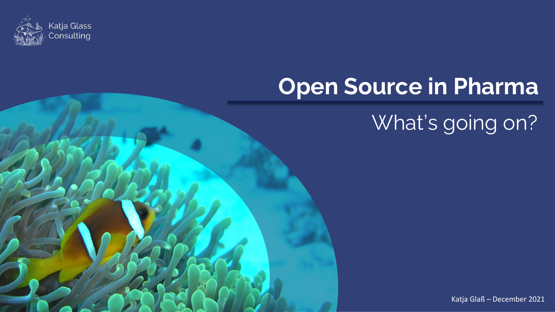

## **Open Source in Pharma**

## What's going on?

Katja Glaß – December 2021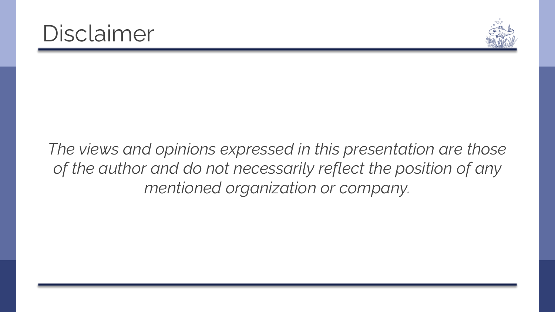



*The views and opinions expressed in this presentation are those of the author and do not necessarily reflect the position of any mentioned organization or company.*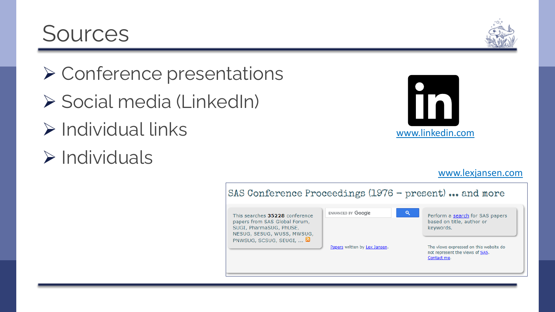#### **Sources**

- ➢ Conference presentations
- ➢ Social media (LinkedIn)
- $\triangleright$  Individual links
- ➢ Individuals



[www.lexjansen.com](http://www.lexjansen.com/)

| SAS Conference Proceedings $(1976 - present)$ and more                                                                                            |                               |                                                                                          |  |
|---------------------------------------------------------------------------------------------------------------------------------------------------|-------------------------------|------------------------------------------------------------------------------------------|--|
| This searches 35228 conference<br>papers from SAS Global Forum,<br>SUGI, PharmaSUG, PhUSE,<br>NESUG, SESUG, WUSS, MWSUG,<br>PNWSUG, SCSUG, SEUGI, | ENHANCED BY Google<br>Q       | Perform a search for SAS papers<br>based on title, author or<br>keywords.                |  |
|                                                                                                                                                   | Papers written by Lex Jansen. | The views expressed on this website do<br>not represent the views of SAS.<br>Contact me. |  |

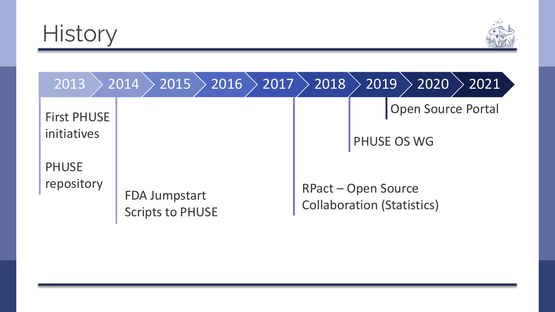



| 2013               | 2016<br>2015<br>2017<br>2014                    | 2018 | 2019<br>2020<br>2021                                            |
|--------------------|-------------------------------------------------|------|-----------------------------------------------------------------|
| <b>First PHUSE</b> |                                                 |      | <b>Open Source Portal</b>                                       |
| initiatives        |                                                 |      | PHUSE OS WG                                                     |
| <b>PHUSE</b>       |                                                 |      |                                                                 |
| repository         | <b>FDA Jumpstart</b><br><b>Scripts to PHUSE</b> |      | <b>RPact - Open Source</b><br><b>Collaboration (Statistics)</b> |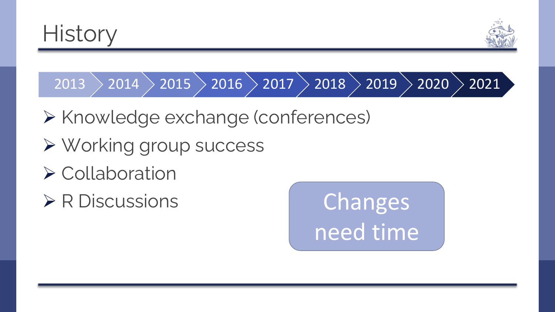



 $\ket{2013}\ket{2014}\ket{2015}\ket{2016}\ket{2017}\ket{2018}\ket{2019}\ket{2020}\ket{2021}$ 

- ➢ Knowledge exchange (conferences)
- ➢ Working group success
- ➢ Collaboration
- ➢ R Discussions Changes

need time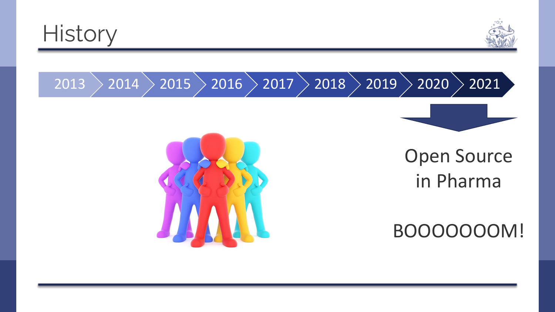





Open Source in Pharma

BOOOOOOOM!

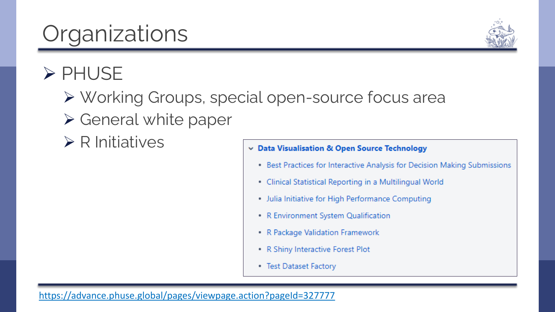<https://advance.phuse.global/pages/viewpage.action?pageId=327777>

## **Organizations**

#### ➢ PHUSE

- ➢ Working Groups, special open-source focus area
- ➢ General white paper
- $\triangleright$  R Initiatives

#### Data Visualisation & Open Source Technology

- Best Practices for Interactive Analysis for Decision Making Submissions
- Clinical Statistical Reporting in a Multilingual World
- · Julia Initiative for High Performance Computing
- R Environment System Qualification
- R Package Validation Framework
- R Shiny Interactive Forest Plot
- Test Dataset Factory

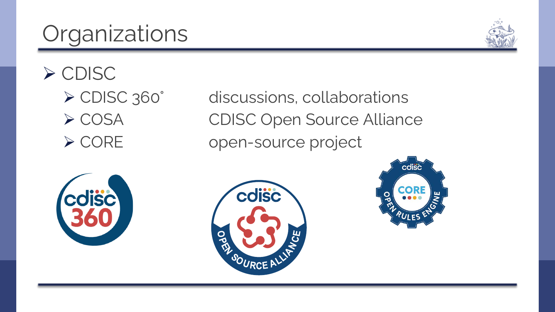# **Organizations**



➢ CDISC

➢ CDISC 360° discussions, collaborations ➢ COSA CDISC Open Source Alliance ➢ CORE open-source project





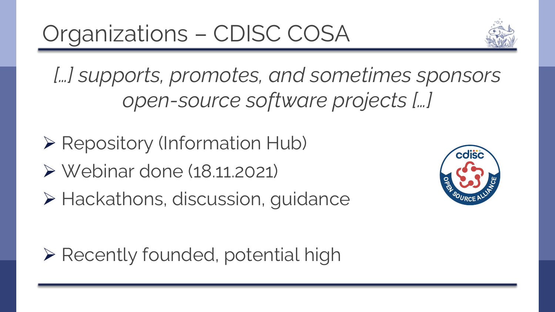

*[…] supports, promotes, and sometimes sponsors open-source software projects […]* 

- ➢ Repository (Information Hub)
- ➢ Webinar done (18.11.2021)
- ➢ Hackathons, discussion, guidance



➢ Recently founded, potential high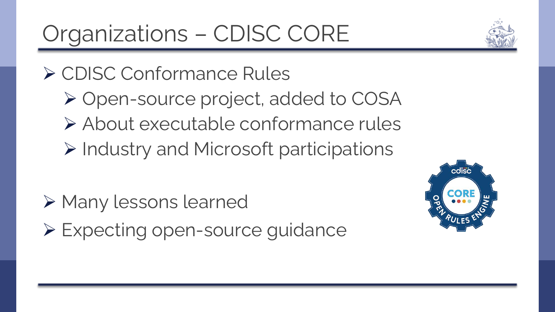Organizations – CDISC CORE

#### ➢ CDISC Conformance Rules

➢ Open-source project, added to COSA ➢ About executable conformance rules ➢ Industry and Microsoft participations

- ➢ Many lessons learned
- ➢ Expecting open-source guidance



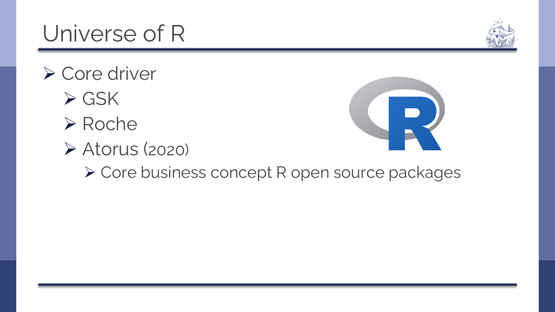➢ Core business concept R open source packages

### Universe of R

- ➢ Core driver
	- ➢ GSK
	- ➢ Roche
	- ➢ Atorus (2020)



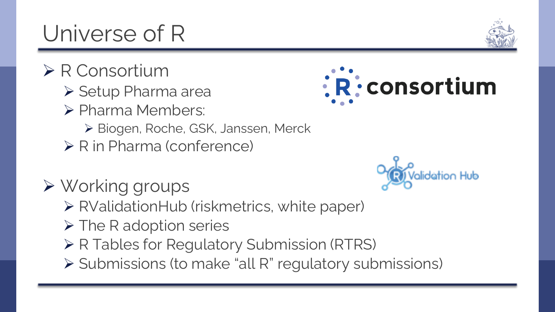# Universe of R

- ➢ R Consortium
	- ➢ Setup Pharma area
	- ➢ Pharma Members:
		- ➢ Biogen, Roche, GSK, Janssen, Merck
	- ➢ R in Pharma (conference)
- ➢ Working groups
	- ➢ RValidationHub (riskmetrics, white paper)
	- ➢ The R adoption series
	- ➢ R Tables for Regulatory Submission (RTRS)
	- ➢ Submissions (to make "all R" regulatory submissions)





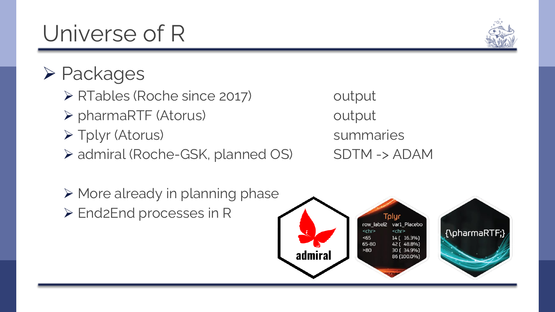- ➢ RTables (Roche since 2017) output
	- ➢ pharmaRTF (Atorus) output
	- ➢ Tplyr (Atorus) summaries
	- ➢ admiral (Roche-GSK, planned OS) SDTM -> ADAM







## Universe of R

➢ Packages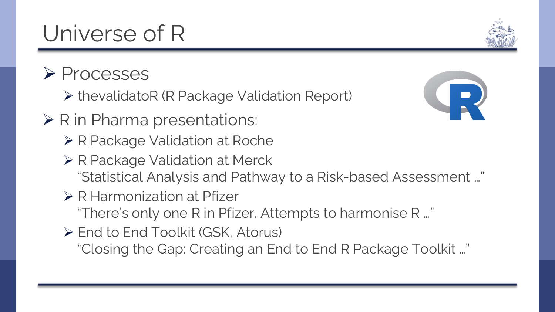Universe of R

#### ➢ Processes

- ➢ thevalidatoR (R Package Validation Report)
- ➢ R in Pharma presentations:
	- ➢ R Package Validation at Roche
	- ➢ R Package Validation at Merck "Statistical Analysis and Pathway to a Risk-based Assessment …"
	- ➢ R Harmonization at Pfizer

"There's only one R in Pfizer. Attempts to harmonise R …"

➢ End to End Toolkit (GSK, Atorus) "Closing the Gap: Creating an End to End R Package Toolkit …"



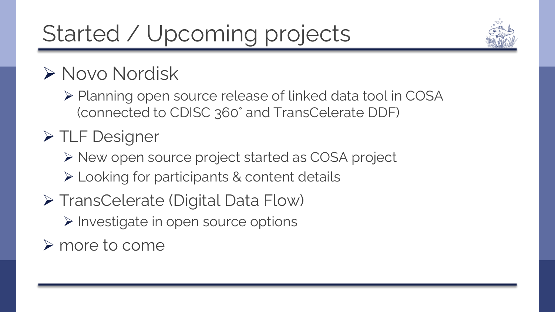# Started / Upcoming projects

#### ➢ Novo Nordisk

➢ Planning open source release of linked data tool in COSA (connected to CDISC 360° and TransCelerate DDF)

#### ➢ TLF Designer

➢ New open source project started as COSA project

- ➢ Looking for participants & content details
- ➢ TransCelerate (Digital Data Flow)

➢ Investigate in open source options

➢ more to come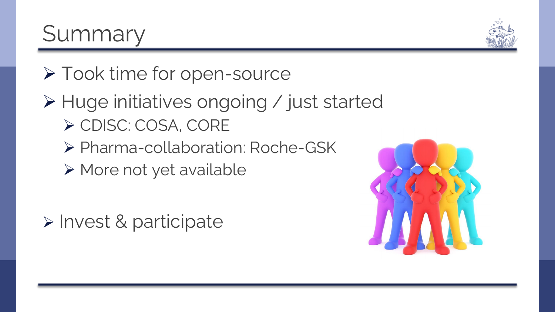## ➢ Took time for open-source

#### ➢ Huge initiatives ongoing / just started ➢ CDISC: COSA, CORE

- ➢ Pharma-collaboration: Roche-GSK
- ➢ More not yet available

➢ Invest & participate

Summary